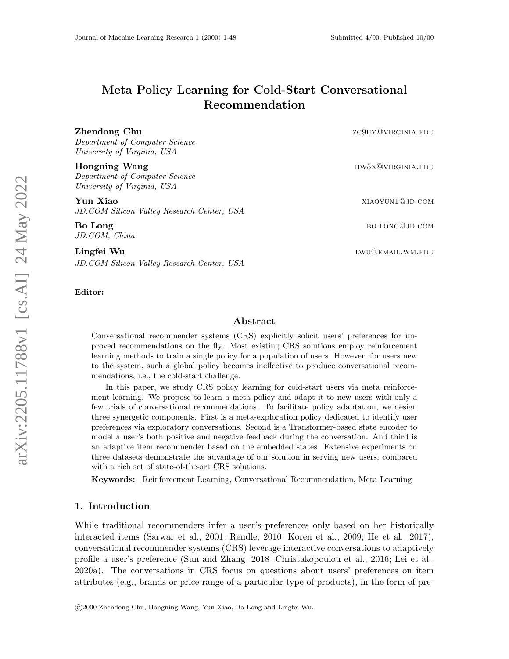# Meta Policy Learning for Cold-Start Conversational Recommendation

Department of Computer Science University of Virginia, USA

Department of Computer Science University of Virginia, USA

Yun Xiao xiaoyun1@jd.com JD.COM Silicon Valley Research Center, USA

JD.COM, China

Lingfei Wu lwu@email.wm.edu JD.COM Silicon Valley Research Center, USA

Editor:

### Abstract

Conversational recommender systems (CRS) explicitly solicit users' preferences for improved recommendations on the fly. Most existing CRS solutions employ reinforcement learning methods to train a single policy for a population of users. However, for users new to the system, such a global policy becomes ineffective to produce conversational recommendations, i.e., the cold-start challenge.

In this paper, we study CRS policy learning for cold-start users via meta reinforcement learning. We propose to learn a meta policy and adapt it to new users with only a few trials of conversational recommendations. To facilitate policy adaptation, we design three synergetic components. First is a meta-exploration policy dedicated to identify user preferences via exploratory conversations. Second is a Transformer-based state encoder to model a user's both positive and negative feedback during the conversation. And third is an adaptive item recommender based on the embedded states. Extensive experiments on three datasets demonstrate the advantage of our solution in serving new users, compared with a rich set of state-of-the-art CRS solutions.

Keywords: Reinforcement Learning, Conversational Recommendation, Meta Learning

# 1. Introduction

While traditional recommenders infer a user's preferences only based on her historically interacted items [\(Sarwar et al., 2001;](#page-20-0) [Rendle, 2010;](#page-19-0) [Koren et al., 2009;](#page-19-1) [He et al., 2017\)](#page-18-0), conversational recommender systems (CRS) leverage interactive conversations to adaptively profile a user's preference [\(Sun and Zhang, 2018;](#page-20-1) [Christakopoulou et al., 2016;](#page-18-1) [Lei et al.,](#page-19-2) [2020a\)](#page-19-2). The conversations in CRS focus on questions about users' preferences on item attributes (e.g., brands or price range of a particular type of products), in the form of pre-

©2000 Zhendong Chu, Hongning Wang, Yun Xiao, Bo Long and Lingfei Wu.

**Zhendong Chu**  $ZC90Y@VIRGINIA.EDU$ 

Hongning Wang hw5x@virginia.edu

Bo Long bo.long@jd.com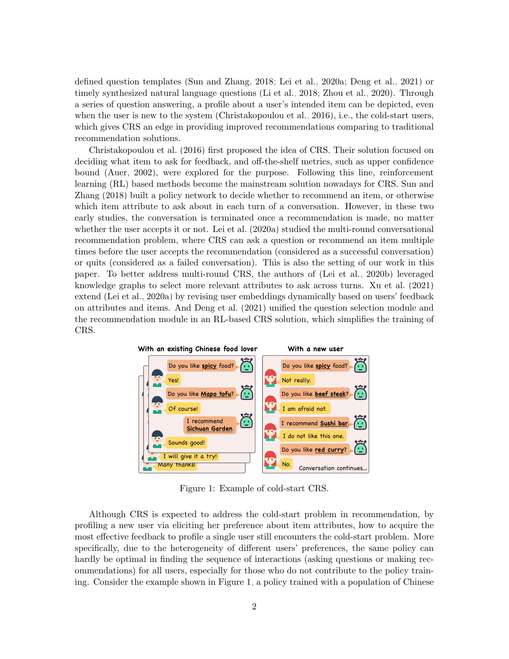defined question templates [\(Sun and Zhang, 2018;](#page-20-1) [Lei et al., 2020a;](#page-19-2) [Deng et al., 2021\)](#page-18-2) or timely synthesized natural language questions [\(Li et al., 2018;](#page-19-3) [Zhou et al., 2020\)](#page-20-2). Through a series of question answering, a profile about a user's intended item can be depicted, even when the user is new to the system [\(Christakopoulou et al., 2016\)](#page-18-1), i.e., the cold-start users, which gives CRS an edge in providing improved recommendations comparing to traditional recommendation solutions.

[Christakopoulou et al.](#page-18-1) [\(2016\)](#page-18-1) first proposed the idea of CRS. Their solution focused on deciding what item to ask for feedback, and off-the-shelf metrics, such as upper confidence bound [\(Auer, 2002\)](#page-17-0), were explored for the purpose. Following this line, reinforcement learning (RL) based methods become the mainstream solution nowadays for CRS. [Sun and](#page-20-1) [Zhang](#page-20-1) [\(2018\)](#page-20-1) built a policy network to decide whether to recommend an item, or otherwise which item attribute to ask about in each turn of a conversation. However, in these two early studies, the conversation is terminated once a recommendation is made, no matter whether the user accepts it or not. [Lei et al.](#page-19-2)  $(2020a)$  studied the multi-round conversational recommendation problem, where CRS can ask a question or recommend an item multiple times before the user accepts the recommendation (considered as a successful conversation) or quits (considered as a failed conversation). This is also the setting of our work in this paper. To better address multi-round CRS, the authors of [\(Lei et al., 2020b\)](#page-19-4) leveraged knowledge graphs to select more relevant attributes to ask across turns. [Xu et al.](#page-20-3) [\(2021\)](#page-20-3) extend [\(Lei et al., 2020a\)](#page-19-2) by revising user embeddings dynamically based on users' feedback on attributes and items. And [Deng et al.](#page-18-2) [\(2021\)](#page-18-2) unified the question selection module and the recommendation module in an RL-based CRS solution, which simplifies the training of CRS.

<span id="page-1-0"></span>

Figure 1: Example of cold-start CRS.

Although CRS is expected to address the cold-start problem in recommendation, by profiling a new user via eliciting her preference about item attributes, how to acquire the most effective feedback to profile a single user still encounters the cold-start problem. More specifically, due to the heterogeneity of different users' preferences, the same policy can hardly be optimal in finding the sequence of interactions (asking questions or making recommendations) for all users, especially for those who do not contribute to the policy training. Consider the example shown in Figure [1,](#page-1-0) a policy trained with a population of Chinese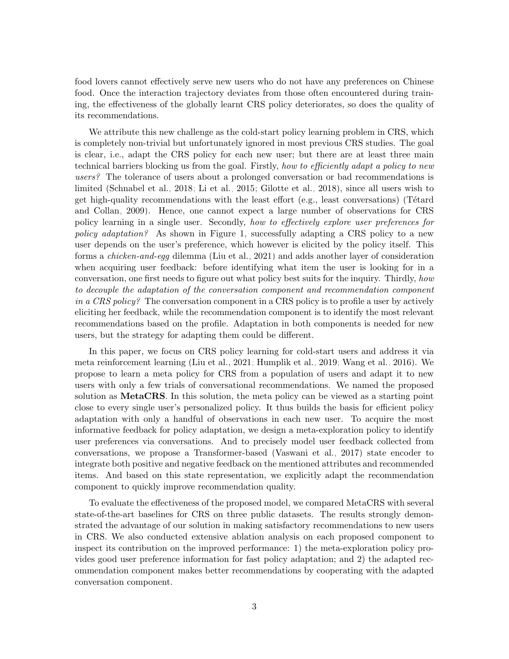food lovers cannot effectively serve new users who do not have any preferences on Chinese food. Once the interaction trajectory deviates from those often encountered during training, the effectiveness of the globally learnt CRS policy deteriorates, so does the quality of its recommendations.

We attribute this new challenge as the cold-start policy learning problem in CRS, which is completely non-trivial but unfortunately ignored in most previous CRS studies. The goal is clear, i.e., adapt the CRS policy for each new user; but there are at least three main technical barriers blocking us from the goal. Firstly, how to efficiently adapt a policy to new users? The tolerance of users about a prolonged conversation or bad recommendations is limited [\(Schnabel et al., 2018;](#page-20-4) [Li et al., 2015;](#page-19-5) [Gilotte et al., 2018\)](#page-18-3), since all users wish to get high-quality recommendations with the least effort (e.g., least conversations) (Tétard [and Collan, 2009\)](#page-20-5). Hence, one cannot expect a large number of observations for CRS policy learning in a single user. Secondly, how to effectively explore user preferences for policy adaptation? As shown in Figure [1,](#page-1-0) successfully adapting a CRS policy to a new user depends on the user's preference, which however is elicited by the policy itself. This forms a chicken-and-egg dilemma [\(Liu et al., 2021\)](#page-19-6) and adds another layer of consideration when acquiring user feedback: before identifying what item the user is looking for in a conversation, one first needs to figure out what policy best suits for the inquiry. Thirdly, how to decouple the adaptation of the conversation component and recommendation component in a CRS policy? The conversation component in a CRS policy is to profile a user by actively eliciting her feedback, while the recommendation component is to identify the most relevant recommendations based on the profile. Adaptation in both components is needed for new users, but the strategy for adapting them could be different.

In this paper, we focus on CRS policy learning for cold-start users and address it via meta reinforcement learning [\(Liu et al., 2021;](#page-19-6) [Humplik et al., 2019;](#page-18-4) [Wang et al., 2016\)](#page-20-6). We propose to learn a meta policy for CRS from a population of users and adapt it to new users with only a few trials of conversational recommendations. We named the proposed solution as **MetaCRS**. In this solution, the meta policy can be viewed as a starting point close to every single user's personalized policy. It thus builds the basis for efficient policy adaptation with only a handful of observations in each new user. To acquire the most informative feedback for policy adaptation, we design a meta-exploration policy to identify user preferences via conversations. And to precisely model user feedback collected from conversations, we propose a Transformer-based [\(Vaswani et al., 2017\)](#page-20-7) state encoder to integrate both positive and negative feedback on the mentioned attributes and recommended items. And based on this state representation, we explicitly adapt the recommendation component to quickly improve recommendation quality.

To evaluate the effectiveness of the proposed model, we compared MetaCRS with several state-of-the-art baselines for CRS on three public datasets. The results strongly demonstrated the advantage of our solution in making satisfactory recommendations to new users in CRS. We also conducted extensive ablation analysis on each proposed component to inspect its contribution on the improved performance: 1) the meta-exploration policy provides good user preference information for fast policy adaptation; and 2) the adapted recommendation component makes better recommendations by cooperating with the adapted conversation component.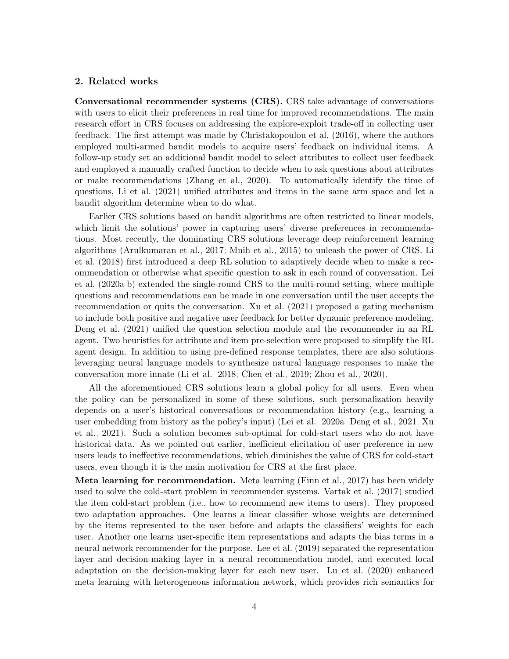# 2. Related works

Conversational recommender systems (CRS). CRS take advantage of conversations with users to elicit their preferences in real time for improved recommendations. The main research effort in CRS focuses on addressing the explore-exploit trade-off in collecting user feedback. The first attempt was made by [Christakopoulou et al.](#page-18-1) [\(2016\)](#page-18-1), where the authors employed multi-armed bandit models to acquire users' feedback on individual items. A follow-up study set an additional bandit model to select attributes to collect user feedback and employed a manually crafted function to decide when to ask questions about attributes or make recommendations [\(Zhang et al., 2020\)](#page-20-8). To automatically identify the time of questions, [Li et al.](#page-19-7) [\(2021\)](#page-19-7) unified attributes and items in the same arm space and let a bandit algorithm determine when to do what.

Earlier CRS solutions based on bandit algorithms are often restricted to linear models, which limit the solutions' power in capturing users' diverse preferences in recommendations. Most recently, the dominating CRS solutions leverage deep reinforcement learning algorithms [\(Arulkumaran et al., 2017;](#page-17-1) [Mnih et al., 2015\)](#page-19-8) to unleash the power of CRS. [Li](#page-19-3) [et al.](#page-19-3) [\(2018\)](#page-19-3) first introduced a deep RL solution to adaptively decide when to make a recommendation or otherwise what specific question to ask in each round of conversation. [Lei](#page-19-2) [et al.](#page-19-2) [\(2020a,](#page-19-2)[b\)](#page-19-4) extended the single-round CRS to the multi-round setting, where multiple questions and recommendations can be made in one conversation until the user accepts the recommendation or quits the conversation. [Xu et al.](#page-20-3) [\(2021\)](#page-20-3) proposed a gating mechanism to include both positive and negative user feedback for better dynamic preference modeling. [Deng et al.](#page-18-2) [\(2021\)](#page-18-2) unified the question selection module and the recommender in an RL agent. Two heuristics for attribute and item pre-selection were proposed to simplify the RL agent design. In addition to using pre-defined response templates, there are also solutions leveraging neural language models to synthesize natural language responses to make the conversation more innate [\(Li et al., 2018;](#page-19-3) [Chen et al., 2019;](#page-18-5) [Zhou et al., 2020\)](#page-20-2).

All the aforementioned CRS solutions learn a global policy for all users. Even when the policy can be personalized in some of these solutions, such personalization heavily depends on a user's historical conversations or recommendation history (e.g., learning a user embedding from history as the policy's input) [\(Lei et al., 2020a;](#page-19-2) [Deng et al., 2021;](#page-18-2) [Xu](#page-20-3) [et al., 2021\)](#page-20-3). Such a solution becomes sub-optimal for cold-start users who do not have historical data. As we pointed out earlier, inefficient elicitation of user preference in new users leads to ineffective recommendations, which diminishes the value of CRS for cold-start users, even though it is the main motivation for CRS at the first place.

Meta learning for recommendation. Meta learning [\(Finn et al., 2017\)](#page-18-6) has been widely used to solve the cold-start problem in recommender systems. [Vartak et al.](#page-20-9) [\(2017\)](#page-20-9) studied the item cold-start problem (i.e., how to recommend new items to users). They proposed two adaptation approaches. One learns a linear classifier whose weights are determined by the items represented to the user before and adapts the classifiers' weights for each user. Another one learns user-specific item representations and adapts the bias terms in a neural network recommender for the purpose. [Lee et al.](#page-19-9) [\(2019\)](#page-19-9) separated the representation layer and decision-making layer in a neural recommendation model, and executed local adaptation on the decision-making layer for each new user. [Lu et al.](#page-19-10) [\(2020\)](#page-19-10) enhanced meta learning with heterogeneous information network, which provides rich semantics for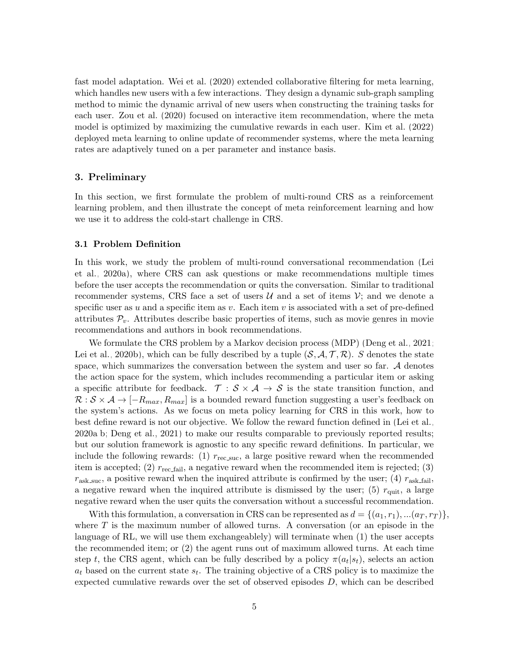fast model adaptation. [Wei et al.](#page-20-10) [\(2020\)](#page-20-10) extended collaborative filtering for meta learning, which handles new users with a few interactions. They design a dynamic sub-graph sampling method to mimic the dynamic arrival of new users when constructing the training tasks for each user. [Zou et al.](#page-21-0) [\(2020\)](#page-21-0) focused on interactive item recommendation, where the meta model is optimized by maximizing the cumulative rewards in each user. [Kim et al.](#page-18-7) [\(2022\)](#page-18-7) deployed meta learning to online update of recommender systems, where the meta learning rates are adaptively tuned on a per parameter and instance basis.

# 3. Preliminary

In this section, we first formulate the problem of multi-round CRS as a reinforcement learning problem, and then illustrate the concept of meta reinforcement learning and how we use it to address the cold-start challenge in CRS.

#### <span id="page-4-0"></span>3.1 Problem Definition

In this work, we study the problem of multi-round conversational recommendation [\(Lei](#page-19-2) [et al., 2020a\)](#page-19-2), where CRS can ask questions or make recommendations multiple times before the user accepts the recommendation or quits the conversation. Similar to traditional recommender systems, CRS face a set of users  $\mathcal U$  and a set of items  $\mathcal V$ ; and we denote a specific user as u and a specific item as v. Each item v is associated with a set of pre-defined attributes  $\mathcal{P}_v$ . Attributes describe basic properties of items, such as movie genres in movie recommendations and authors in book recommendations.

We formulate the CRS problem by a Markov decision process (MDP) [\(Deng et al., 2021;](#page-18-2) [Lei et al., 2020b\)](#page-19-4), which can be fully described by a tuple  $(S, \mathcal{A}, \mathcal{T}, \mathcal{R})$ . S denotes the state space, which summarizes the conversation between the system and user so far.  $A$  denotes the action space for the system, which includes recommending a particular item or asking a specific attribute for feedback.  $\mathcal{T}: \mathcal{S} \times \mathcal{A} \rightarrow \mathcal{S}$  is the state transition function, and  $\mathcal{R}: \mathcal{S} \times \mathcal{A} \rightarrow [-R_{max}, R_{max}]$  is a bounded reward function suggesting a user's feedback on the system's actions. As we focus on meta policy learning for CRS in this work, how to best define reward is not our objective. We follow the reward function defined in [\(Lei et al.,](#page-19-2) [2020a](#page-19-2)[,b;](#page-19-4) [Deng et al., 2021\)](#page-18-2) to make our results comparable to previously reported results; but our solution framework is agnostic to any specific reward definitions. In particular, we include the following rewards: (1)  $r_{\text{rec\_suc}}$ , a large positive reward when the recommended item is accepted; (2)  $r_{\text{rec\_fail}}$ , a negative reward when the recommended item is rejected; (3)  $r_{\text{ask\_suc}}$ , a positive reward when the inquired attribute is confirmed by the user; (4)  $r_{\text{ask\_fail}}$ , a negative reward when the inquired attribute is dismissed by the user; (5)  $r_{\text{quit}}$ , a large negative reward when the user quits the conversation without a successful recommendation.

With this formulation, a conversation in CRS can be represented as  $d = \{(a_1, r_1), ... (a_T, r_T)\}\,$ where  $T$  is the maximum number of allowed turns. A conversation (or an episode in the language of RL, we will use them exchangeablely) will terminate when (1) the user accepts the recommended item; or (2) the agent runs out of maximum allowed turns. At each time step t, the CRS agent, which can be fully described by a policy  $\pi(a_t|s_t)$ , selects an action  $a_t$  based on the current state  $s_t$ . The training objective of a CRS policy is to maximize the expected cumulative rewards over the set of observed episodes  $D$ , which can be described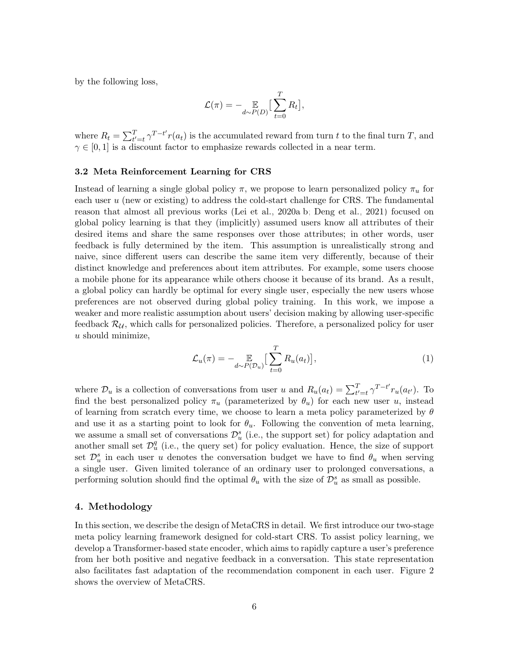by the following loss,

$$
\mathcal{L}(\pi) = - \mathop{\mathbb{E}}_{d \sim P(D)} \left[ \sum_{t=0}^{T} R_t \right],
$$

where  $R_t = \sum_{t'=t}^{T} \gamma^{T-t'} r(a_t)$  is the accumulated reward from turn t to the final turn T, and  $\gamma \in [0, 1]$  is a discount factor to emphasize rewards collected in a near term.

#### 3.2 Meta Reinforcement Learning for CRS

Instead of learning a single global policy  $\pi$ , we propose to learn personalized policy  $\pi_u$  for each user u (new or existing) to address the cold-start challenge for CRS. The fundamental reason that almost all previous works [\(Lei et al., 2020a](#page-19-2)[,b;](#page-19-4) [Deng et al., 2021\)](#page-18-2) focused on global policy learning is that they (implicitly) assumed users know all attributes of their desired items and share the same responses over those attributes; in other words, user feedback is fully determined by the item. This assumption is unrealistically strong and naive, since different users can describe the same item very differently, because of their distinct knowledge and preferences about item attributes. For example, some users choose a mobile phone for its appearance while others choose it because of its brand. As a result, a global policy can hardly be optimal for every single user, especially the new users whose preferences are not observed during global policy training. In this work, we impose a weaker and more realistic assumption about users' decision making by allowing user-specific feedback  $\mathcal{R}_{\mathcal{U}}$ , which calls for personalized policies. Therefore, a personalized policy for user u should minimize,

<span id="page-5-0"></span>
$$
\mathcal{L}_u(\pi) = -\underset{d \sim P(\mathcal{D}_u)}{\mathbb{E}} \left[ \sum_{t=0}^T R_u(a_t) \right],\tag{1}
$$

where  $\mathcal{D}_u$  is a collection of conversations from user u and  $R_u(a_t) = \sum_{t'=t}^T \gamma^{T-t'} r_u(a_{t'})$ . To find the best personalized policy  $\pi_u$  (parameterized by  $\theta_u$ ) for each new user u, instead of learning from scratch every time, we choose to learn a meta policy parameterized by  $\theta$ and use it as a starting point to look for  $\theta_u$ . Following the convention of meta learning, we assume a small set of conversations  $\mathcal{D}_{u}^{s}$  (i.e., the support set) for policy adaptation and another small set  $\mathcal{D}_{u}^{q}$  (i.e., the query set) for policy evaluation. Hence, the size of support set  $\mathcal{D}_{u}^{s}$  in each user u denotes the conversation budget we have to find  $\theta_{u}$  when serving a single user. Given limited tolerance of an ordinary user to prolonged conversations, a performing solution should find the optimal  $\theta_u$  with the size of  $\mathcal{D}_u^s$  as small as possible.

# 4. Methodology

In this section, we describe the design of MetaCRS in detail. We first introduce our two-stage meta policy learning framework designed for cold-start CRS. To assist policy learning, we develop a Transformer-based state encoder, which aims to rapidly capture a user's preference from her both positive and negative feedback in a conversation. This state representation also facilitates fast adaptation of the recommendation component in each user. Figure [2](#page-6-0) shows the overview of MetaCRS.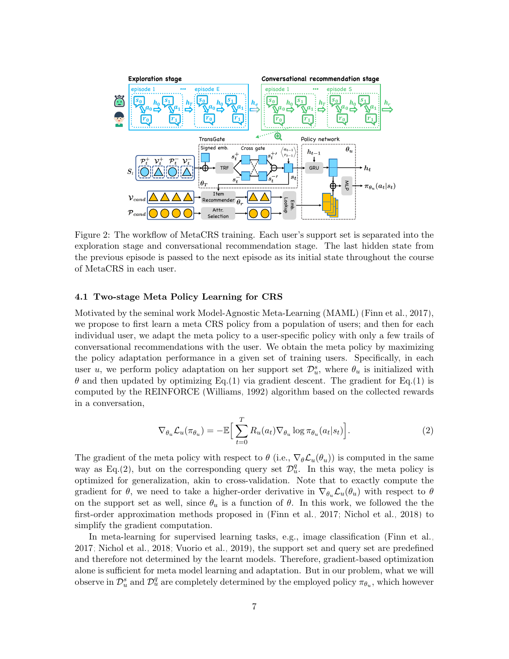<span id="page-6-0"></span>

Figure 2: The workflow of MetaCRS training. Each user's support set is separated into the exploration stage and conversational recommendation stage. The last hidden state from the previous episode is passed to the next episode as its initial state throughout the course of MetaCRS in each user.

# 4.1 Two-stage Meta Policy Learning for CRS

Motivated by the seminal work Model-Agnostic Meta-Learning (MAML) [\(Finn et al., 2017\)](#page-18-6), we propose to first learn a meta CRS policy from a population of users; and then for each individual user, we adapt the meta policy to a user-specific policy with only a few trails of conversational recommendations with the user. We obtain the meta policy by maximizing the policy adaptation performance in a given set of training users. Specifically, in each user u, we perform policy adaptation on her support set  $\mathcal{D}_u^s$ , where  $\theta_u$  is initialized with  $\theta$  and then updated by optimizing Eq.[\(1\)](#page-5-0) via gradient descent. The gradient for Eq.(1) is computed by the REINFORCE [\(Williams, 1992\)](#page-20-11) algorithm based on the collected rewards in a conversation,

<span id="page-6-1"></span>
$$
\nabla_{\theta_u} \mathcal{L}_u(\pi_{\theta_u}) = -\mathbb{E}\Big[\sum_{t=0}^T R_u(a_t) \nabla_{\theta_u} \log \pi_{\theta_u}(a_t|s_t)\Big].\tag{2}
$$

The gradient of the meta policy with respect to  $\theta$  (i.e.,  $\nabla_{\theta} \mathcal{L}_{u}(\theta_{u})$ ) is computed in the same way as Eq.[\(2\)](#page-6-1), but on the corresponding query set  $\mathcal{D}_u^q$ . In this way, the meta policy is optimized for generalization, akin to cross-validation. Note that to exactly compute the gradient for  $\theta$ , we need to take a higher-order derivative in  $\nabla_{\theta_u} \mathcal{L}_u(\theta_u)$  with respect to  $\theta$ on the support set as well, since  $\theta_u$  is a function of  $\theta$ . In this work, we followed the the first-order approximation methods proposed in [\(Finn et al., 2017;](#page-18-6) [Nichol et al., 2018\)](#page-19-11) to simplify the gradient computation.

In meta-learning for supervised learning tasks, e.g., image classification [\(Finn et al.,](#page-18-6) [2017;](#page-18-6) [Nichol et al., 2018;](#page-19-11) [Vuorio et al., 2019\)](#page-20-12), the support set and query set are predefined and therefore not determined by the learnt models. Therefore, gradient-based optimization alone is sufficient for meta model learning and adaptation. But in our problem, what we will observe in  $\mathcal{D}_u^s$  and  $\mathcal{D}_u^q$  are completely determined by the employed policy  $\pi_{\theta_u}$ , which however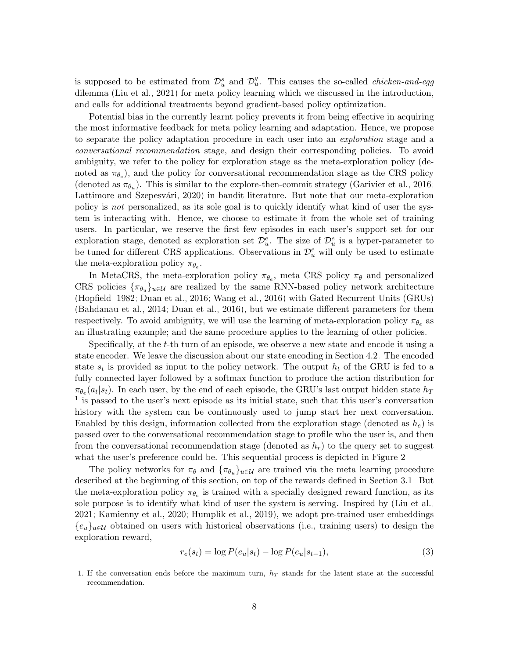is supposed to be estimated from  $\mathcal{D}_u^s$  and  $\mathcal{D}_u^q$ . This causes the so-called *chicken-and-egg* dilemma [\(Liu et al., 2021\)](#page-19-6) for meta policy learning which we discussed in the introduction, and calls for additional treatments beyond gradient-based policy optimization.

Potential bias in the currently learnt policy prevents it from being effective in acquiring the most informative feedback for meta policy learning and adaptation. Hence, we propose to separate the policy adaptation procedure in each user into an exploration stage and a conversational recommendation stage, and design their corresponding policies. To avoid ambiguity, we refer to the policy for exploration stage as the meta-exploration policy (denoted as  $\pi_{\theta_e}$ ), and the policy for conversational recommendation stage as the CRS policy (denoted as  $\pi_{\theta_u}$ ). This is similar to the explore-then-commit strategy [\(Garivier et al., 2016;](#page-18-8) Lattimore and Szepesvári, 2020) in bandit literature. But note that our meta-exploration policy is not personalized, as its sole goal is to quickly identify what kind of user the system is interacting with. Hence, we choose to estimate it from the whole set of training users. In particular, we reserve the first few episodes in each user's support set for our exploration stage, denoted as exploration set  $\mathcal{D}_u^e$ . The size of  $\mathcal{D}_u^e$  is a hyper-parameter to be tuned for different CRS applications. Observations in  $\mathcal{D}_{u}^{e}$  will only be used to estimate the meta-exploration policy  $\pi_{\theta_e}$ .

In MetaCRS, the meta-exploration policy  $\pi_{\theta_e}$ , meta CRS policy  $\pi_{\theta}$  and personalized CRS policies  $\{\pi_{\theta_u}\}_{u \in \mathcal{U}}$  are realized by the same RNN-based policy network architecture [\(Hopfield, 1982;](#page-18-9) [Duan et al., 2016;](#page-18-10) [Wang et al., 2016\)](#page-20-6) with Gated Recurrent Units (GRUs) [\(Bahdanau et al., 2014;](#page-17-2) [Duan et al., 2016\)](#page-18-10), but we estimate different parameters for them respectively. To avoid ambiguity, we will use the learning of meta-exploration policy  $\pi_{\theta_e}$  as an illustrating example; and the same procedure applies to the learning of other policies.

Specifically, at the t-th turn of an episode, we observe a new state and encode it using a state encoder. We leave the discussion about our state encoding in Section [4.2.](#page-8-0) The encoded state  $s_t$  is provided as input to the policy network. The output  $h_t$  of the GRU is fed to a fully connected layer followed by a softmax function to produce the action distribution for  $\pi_{\theta_e}(a_t|s_t)$ . In each user, by the end of each episode, the GRU's last output hidden state  $h_T$ <sup>[1](#page-7-0)</sup> is passed to the user's next episode as its initial state, such that this user's conversation history with the system can be continuously used to jump start her next conversation. Enabled by this design, information collected from the exploration stage (denoted as  $h_e$ ) is passed over to the conversational recommendation stage to profile who the user is, and then from the conversational recommendation stage (denoted as  $h_r$ ) to the query set to suggest what the user's preference could be. This sequential process is depicted in Figure [2.](#page-6-0)

The policy networks for  $\pi_{\theta}$  and  $\{\pi_{\theta_u}\}_{u \in \mathcal{U}}$  are trained via the meta learning procedure described at the beginning of this section, on top of the rewards defined in Section [3.1.](#page-4-0) But the meta-exploration policy  $\pi_{\theta_e}$  is trained with a specially designed reward function, as its sole purpose is to identify what kind of user the system is serving. Inspired by [\(Liu et al.,](#page-19-6) [2021;](#page-19-6) [Kamienny et al., 2020;](#page-18-11) [Humplik et al., 2019\)](#page-18-4), we adopt pre-trained user embeddings  ${e_u}_{u \in \mathcal{U}}$  obtained on users with historical observations (i.e., training users) to design the exploration reward,

<span id="page-7-1"></span>
$$
r_e(s_t) = \log P(e_u|s_t) - \log P(e_u|s_{t-1}),
$$
\n(3)

<span id="page-7-0"></span><sup>1.</sup> If the conversation ends before the maximum turn,  $h_T$  stands for the latent state at the successful recommendation.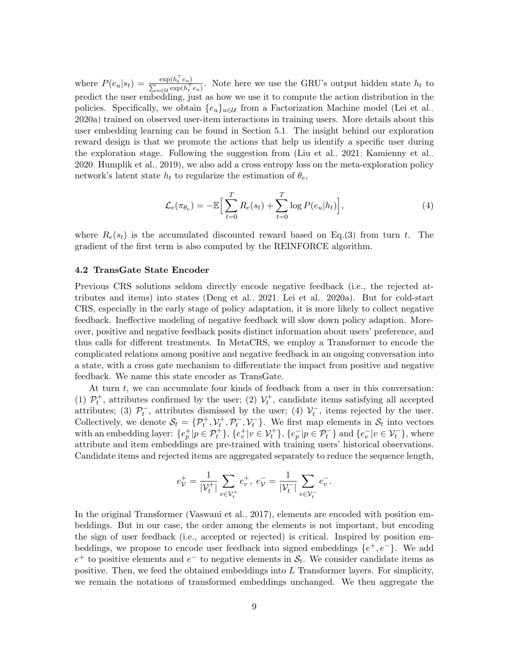where  $P(e_u|s_t) = \frac{\exp(h_t^\top e_u)}{\sum_{v \in \mathcal{V}} \exp(h_v^\top)}$  $\frac{\exp(n_t - e_u)}{\sum_{u \in \mathcal{U}} \exp(h_t^{\top} e_u)}$ . Note here we use the GRU's output hidden state  $h_t$  to predict the user embedding, just as how we use it to compute the action distribution in the policies. Specifically, we obtain  $\{e_u\}_{u\in\mathcal{U}}$  from a Factorization Machine model [\(Lei et al.,](#page-19-2) [2020a\)](#page-19-2) trained on observed user-item interactions in training users. More details about this user embedding learning can be found in Section [5.1.](#page-11-0) The insight behind our exploration reward design is that we promote the actions that help us identify a specific user during the exploration stage. Following the suggestion from [\(Liu et al., 2021;](#page-19-6) [Kamienny et al.,](#page-18-11) [2020;](#page-18-11) [Humplik et al., 2019\)](#page-18-4), we also add a cross entropy loss on the meta-exploration policy network's latent state  $h_t$  to regularize the estimation of  $\theta_e$ ,

$$
\mathcal{L}_e(\pi_{\theta_e}) = -\mathbb{E}\Big[\sum_{t=0}^T R_e(s_t) + \sum_{t=0}^T \log P(e_u|h_t)\Big],\tag{4}
$$

where  $R_e(s_t)$  is the accumulated discounted reward based on Eq.[\(3\)](#page-7-1) from turn t. The gradient of the first term is also computed by the REINFORCE algorithm.

#### <span id="page-8-0"></span>4.2 TransGate State Encoder

Previous CRS solutions seldom directly encode negative feedback (i.e., the rejected attributes and items) into states [\(Deng et al., 2021;](#page-18-2) [Lei et al., 2020a\)](#page-19-2). But for cold-start CRS, especially in the early stage of policy adaptation, it is more likely to collect negative feedback. Ineffective modeling of negative feedback will slow down policy adaption. Moreover, positive and negative feedback posits distinct information about users' preference, and thus calls for different treatments. In MetaCRS, we employ a Transformer to encode the complicated relations among positive and negative feedback in an ongoing conversation into a state, with a cross gate mechanism to differentiate the impact from positive and negative feedback. We name this state encoder as TransGate.

At turn  $t$ , we can accumulate four kinds of feedback from a user in this conversation: (1)  $\mathcal{P}_t^+$ , attributes confirmed by the user; (2)  $\mathcal{V}_t^+$ , candidate items satisfying all accepted attributes; (3)  $\mathcal{P}_t^-$ , attributes dismissed by the user; (4)  $\mathcal{V}_t^-$ , items rejected by the user. Collectively, we denote  $S_t = \{P_t^+, V_t^+, P_t^-, V_t^-\}$ . We first map elements in  $S_t$  into vectors with an embedding layer:  $\{e_p^+|p \in \mathcal{P}_t^+\}$ ,  $\{e_v^+|v \in \mathcal{V}_t^+\}$ ,  $\{e_p^-|p \in \mathcal{P}_t^-\}$  and  $\{e_v^-|v \in \mathcal{V}_t^-\}$ , where attribute and item embeddings are pre-trained with training users' historical observations. Candidate items and rejected items are aggregated separately to reduce the sequence length,

$$
e_{\mathcal{V}}^+=\frac{1}{|\mathcal{V}_t^+|}\sum_{v\in \mathcal{V}_t^+}e_v^+,\; e_{\mathcal{V}}^-=\frac{1}{|\mathcal{V}_t^-|}\sum_{v\in \mathcal{V}_t^-}e_v^-.
$$

In the original Transformer [\(Vaswani et al., 2017\)](#page-20-7), elements are encoded with position embeddings. But in our case, the order among the elements is not important, but encoding the sign of user feedback (i.e., accepted or rejected) is critical. Inspired by position embeddings, we propose to encode user feedback into signed embeddings  $\{e^+, e^-\}$ . We add  $e^+$  to positive elements and  $e^-$  to negative elements in  $S_t$ . We consider candidate items as positive. Then, we feed the obtained embeddings into  $L$  Transformer layers. For simplicity, we remain the notations of transformed embeddings unchanged. We then aggregate the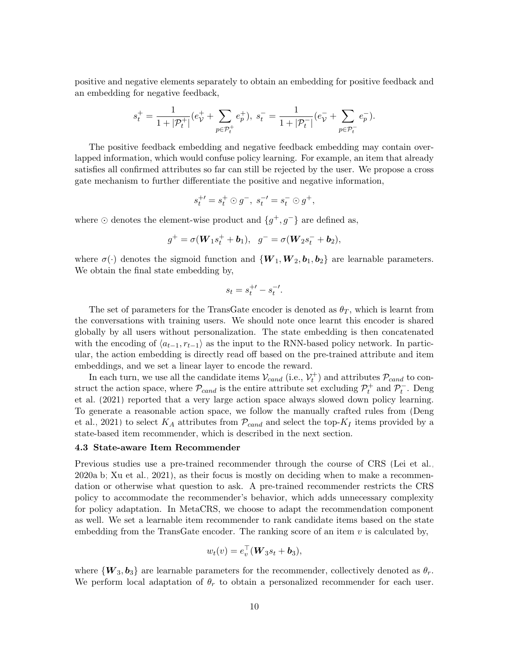positive and negative elements separately to obtain an embedding for positive feedback and an embedding for negative feedback,

$$
s_t^+=\frac{1}{1+|{\mathcal P}_t^+|}(e_{\mathcal V}^++\sum_{p\in{\mathcal P}_t^+}e_p^+),\;s_t^-=\frac{1}{1+|{\mathcal P}_t^-|}(e_{\mathcal V}^-+\sum_{p\in{\mathcal P}_t^-}e_p^-).
$$

The positive feedback embedding and negative feedback embedding may contain overlapped information, which would confuse policy learning. For example, an item that already satisfies all confirmed attributes so far can still be rejected by the user. We propose a cross gate mechanism to further differentiate the positive and negative information,

$$
s_t^{+'} = s_t^{+} \odot g^{-}, \; s_t^{-'} = s_t^{-} \odot g^{+},
$$

where  $\odot$  denotes the element-wise product and  $\{g^+, g^-\}$  are defined as,

$$
g^+ = \sigma(W_1s_t^+ + b_1), \ \ g^- = \sigma(W_2s_t^- + b_2),
$$

where  $\sigma(\cdot)$  denotes the sigmoid function and  $\{W_1, W_2, b_1, b_2\}$  are learnable parameters. We obtain the final state embedding by,

$$
s_t = s_t^{+'} - s_t^{-'}.
$$

The set of parameters for the TransGate encoder is denoted as  $\theta_T$ , which is learnt from the conversations with training users. We should note once learnt this encoder is shared globally by all users without personalization. The state embedding is then concatenated with the encoding of  $\langle a_{t-1}, r_{t-1} \rangle$  as the input to the RNN-based policy network. In particular, the action embedding is directly read off based on the pre-trained attribute and item embeddings, and we set a linear layer to encode the reward.

In each turn, we use all the candidate items  $\mathcal{V}_{cand}$  (i.e.,  $\mathcal{V}_t^+$ ) and attributes  $\mathcal{P}_{cand}$  to construct the action space, where  $\mathcal{P}_{cand}$  is the entire attribute set excluding  $\mathcal{P}_t^+$  and  $\mathcal{P}_t^-$ . [Deng](#page-18-2) [et al.](#page-18-2) [\(2021\)](#page-18-2) reported that a very large action space always slowed down policy learning. To generate a reasonable action space, we follow the manually crafted rules from [\(Deng](#page-18-2) [et al., 2021\)](#page-18-2) to select  $K_A$  attributes from  $\mathcal{P}_{cand}$  and select the top- $K_I$  items provided by a state-based item recommender, which is described in the next section.

#### 4.3 State-aware Item Recommender

Previous studies use a pre-trained recommender through the course of CRS [\(Lei et al.,](#page-19-2) [2020a](#page-19-2)[,b;](#page-19-4) [Xu et al., 2021\)](#page-20-3), as their focus is mostly on deciding when to make a recommendation or otherwise what question to ask. A pre-trained recommender restricts the CRS policy to accommodate the recommender's behavior, which adds unnecessary complexity for policy adaptation. In MetaCRS, we choose to adapt the recommendation component as well. We set a learnable item recommender to rank candidate items based on the state embedding from the TransGate encoder. The ranking score of an item  $v$  is calculated by,

$$
w_t(v) = e_v^{\top}(\boldsymbol{W}_3 s_t + \boldsymbol{b}_3),
$$

where  ${W_3, b_3}$  are learnable parameters for the recommender, collectively denoted as  $\theta_r$ . We perform local adaptation of  $\theta_r$  to obtain a personalized recommender for each user.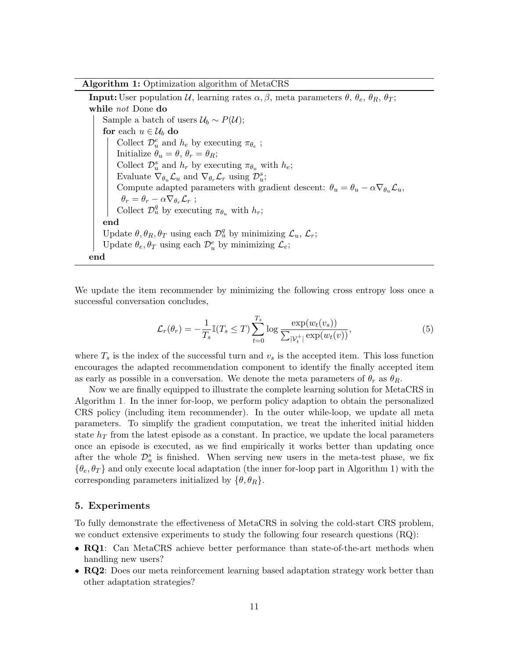Algorithm 1: Optimization algorithm of MetaCRS

**Input:** User population U, learning rates  $\alpha$ ,  $\beta$ , meta parameters  $\theta$ ,  $\theta_e$ ,  $\theta_R$ ,  $\theta_T$ ; while not Done do Sample a batch of users  $\mathcal{U}_b \sim P(\mathcal{U});$ for each  $u \in \mathcal{U}_b$  do Collect  $\mathcal{D}_{u}^{e}$  and  $h_{e}$  by executing  $\pi_{\theta_{e}}$ ; Initialize  $\bar{\theta}_u = \theta$ ,  $\theta_r = \theta_R$ ; Collect  $\mathcal{D}_u^s$  and  $h_r$  by executing  $\pi_{\theta_u}$  with  $h_e$ ; Evaluate  $\nabla_{\theta_u} \mathcal{L}_u$  and  $\nabla_{\theta_r} \mathcal{L}_r$  using  $\mathcal{D}_u^s$ ; Compute adapted parameters with gradient descent:  $\theta_u = \theta_u - \alpha \nabla_{\theta_u} \mathcal{L}_u$ ,  $\theta_r = \theta_r - \alpha \nabla_{\theta_r} \mathcal{L}_r$  ; Collect  $\mathcal{D}_u^q$  by executing  $\pi_{\theta_u}$  with  $h_r$ ; end Update  $\theta$ ,  $\theta_R$ ,  $\theta_T$  using each  $\mathcal{D}_u^q$  by minimizing  $\mathcal{L}_u$ ,  $\mathcal{L}_r$ ; Update  $\theta_e, \theta_T$  using each  $\mathcal{D}_u^e$  by minimizing  $\mathcal{L}_e$ ; end

<span id="page-10-0"></span>We update the item recommender by minimizing the following cross entropy loss once a successful conversation concludes,

$$
\mathcal{L}_r(\theta_r) = -\frac{1}{T_s} \mathbb{I}(T_s \le T) \sum_{t=0}^{T_s} \log \frac{\exp(w_t(v_s))}{\sum_{|\mathcal{V}_t^+|} \exp(w_t(v))},\tag{5}
$$

where  $T_s$  is the index of the successful turn and  $v_s$  is the accepted item. This loss function encourages the adapted recommendation component to identify the finally accepted item as early as possible in a conversation. We denote the meta parameters of  $\theta_r$  as  $\theta_R$ .

Now we are finally equipped to illustrate the complete learning solution for MetaCRS in Algorithm [1.](#page-10-0) In the inner for-loop, we perform policy adaption to obtain the personalized CRS policy (including item recommender). In the outer while-loop, we update all meta parameters. To simplify the gradient computation, we treat the inherited initial hidden state  $h_T$  from the latest episode as a constant. In practice, we update the local parameters once an episode is executed, as we find empirically it works better than updating once after the whole  $\mathcal{D}_{u}^{s}$  is finished. When serving new users in the meta-test phase, we fix  $\{\theta_e, \theta_T\}$  and only execute local adaptation (the inner for-loop part in Algorithm [1\)](#page-10-0) with the corresponding parameters initialized by  $\{\theta, \theta_R\}.$ 

# 5. Experiments

To fully demonstrate the effectiveness of MetaCRS in solving the cold-start CRS problem, we conduct extensive experiments to study the following four research questions (RQ):

- RQ1: Can MetaCRS achieve better performance than state-of-the-art methods when handling new users?
- RQ2: Does our meta reinforcement learning based adaptation strategy work better than other adaptation strategies?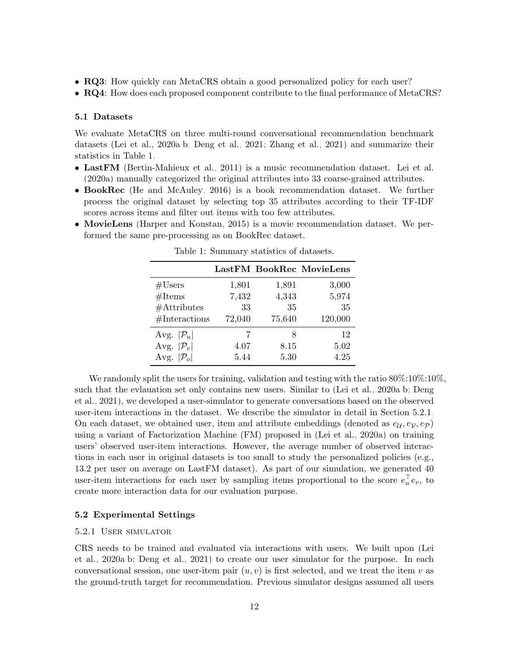- RQ3: How quickly can MetaCRS obtain a good personalized policy for each user?
- RQ4: How does each proposed component contribute to the final performance of MetaCRS?

#### <span id="page-11-0"></span>5.1 Datasets

We evaluate MetaCRS on three multi-round conversational recommendation benchmark datasets [\(Lei et al., 2020a,](#page-19-2)[b;](#page-19-4) [Deng et al., 2021;](#page-18-2) [Zhang et al., 2021\)](#page-20-13) and summarize their statistics in Table [1.](#page-11-1)

- LastFM [\(Bertin-Mahieux et al., 2011\)](#page-17-3) is a music recommendation dataset. [Lei et al.](#page-19-2) [\(2020a\)](#page-19-2) manually categorized the original attributes into 33 coarse-grained attributes.
- BookRec [\(He and McAuley, 2016\)](#page-18-12) is a book recommendation dataset. We further process the original dataset by selecting top 35 attributes according to their TF-IDF scores across items and filter out items with too few attributes.
- <span id="page-11-1"></span>• MovieLens [\(Harper and Konstan, 2015\)](#page-18-13) is a movie recommendation dataset. We performed the same pre-processing as on BookRec dataset.

|                          |             |             | LastFM BookRec MovieLens |
|--------------------------|-------------|-------------|--------------------------|
| #Users                   | 1,801       | 1,891       | 3,000                    |
| #Items<br>$#$ Attributes | 7,432<br>33 | 4,343<br>35 | 5,974<br>35              |
| #Interactions            | 72,040      | 75,640      | 120,000                  |
| Avg. $ \mathcal{P}_u $   | 7           | Χ           | 12                       |
| Avg. $ \mathcal{P}_v $   | 4.07        | 8.15        | 5.02                     |
| Avg. $ \mathcal{P}_o $   | 5.44        | 5.30        | 4.25                     |

Table 1: Summary statistics of datasets.

We randomly split the users for training, validation and testing with the ratio  $80\%:10\%:10\%$ . such that the evlauation set only contains new users. Similar to [\(Lei et al., 2020a](#page-19-2)[,b;](#page-19-4) [Deng](#page-18-2) [et al., 2021\)](#page-18-2), we developed a user-simulator to generate conversations based on the observed user-item interactions in the dataset. We describe the simulator in detail in Section [5.2.1.](#page-11-2) On each dataset, we obtained user, item and attribute embeddings (denoted as  $e_{\mathcal{U}}, e_{\mathcal{V}}, e_{\mathcal{P}}$ ) using a variant of Factorization Machine (FM) proposed in [\(Lei et al., 2020a\)](#page-19-2) on training users' observed user-item interactions. However, the average number of observed interactions in each user in original datasets is too small to study the personalized policies (e.g., 13.2 per user on average on LastFM dataset). As part of our simulation, we generated 40 user-item interactions for each user by sampling items proportional to the score  $e_u^{\dagger}e_v$ , to create more interaction data for our evaluation purpose.

### 5.2 Experimental Settings

#### <span id="page-11-2"></span>5.2.1 User simulator

CRS needs to be trained and evaluated via interactions with users. We built upon [\(Lei](#page-19-2) [et al., 2020a](#page-19-2)[,b;](#page-19-4) [Deng et al., 2021\)](#page-18-2) to create our user simulator for the purpose. In each conversational session, one user-item pair  $(u, v)$  is first selected, and we treat the item v as the ground-truth target for recommendation. Previous simulator designs assumed all users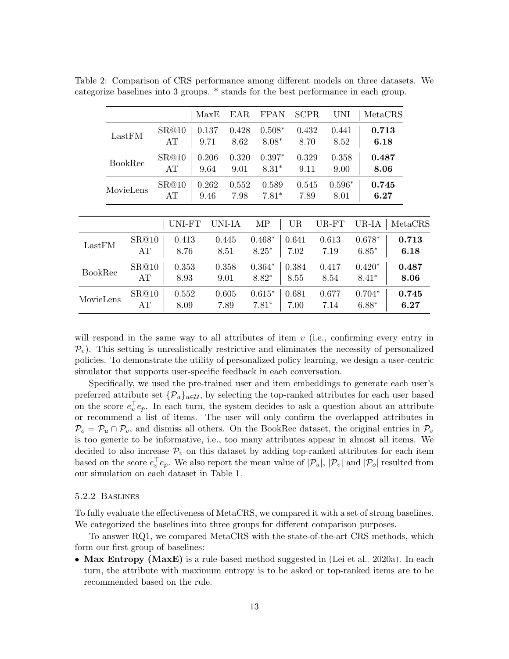|                |                |               | MaxE          | EAR           | <b>FPAN</b>         |               | <b>SCPR</b>   | <b>UNI</b>       | MetaCRS             |               |
|----------------|----------------|---------------|---------------|---------------|---------------------|---------------|---------------|------------------|---------------------|---------------|
|                | LastFM         | SR@10<br>AT   | 0.137<br>9.71 | 0.428<br>8.62 | $0.508*$<br>$8.08*$ |               | 0.432<br>8.70 | 0.441<br>8.52    | 0.713<br>6.18       |               |
|                | <b>BookRec</b> | SR@10<br>AT   | 0.206<br>9.64 | 0.320<br>9.01 | $0.397*$<br>$8.31*$ |               | 0.329<br>9.11 | 0.358<br>9.00    | 0.487<br>8.06       |               |
|                | MovieLens      | SR@10<br>AT   | 0.262<br>9.46 | 0.552<br>7.98 | 0.589<br>$7.81*$    |               | 0.545<br>7.89 | $0.596*$<br>8.01 | 0.745<br>6.27       |               |
|                |                | UNI-FT        | UNI-IA        |               | MP                  | <b>UR</b>     |               | UR-FT            | UR-IA               | MetaCRS       |
| LastFM         | SR@10<br>AT    | 0.413<br>8.76 | 0.445<br>8.51 |               | $0.468*$<br>$8.25*$ | 0.641<br>7.02 |               | 0.613<br>7.19    | $0.678*$<br>$6.85*$ | 0.713<br>6.18 |
| <b>BookRec</b> | SR@10<br>AT    | 0.353<br>8.93 | 0.358<br>9.01 |               | $0.364*$<br>$8.82*$ | 0.384<br>8.55 |               | 0.417<br>8.54    | $0.420*$<br>$8.41*$ | 0.487<br>8.06 |
| MovieLens      | SR@10<br>AT    | 0.552<br>8.09 | 0.605<br>7.89 |               | $0.615*$<br>$7.81*$ | 0.681<br>7.00 |               | 0.677<br>7.14    | $0.704*$<br>$6.88*$ | 0.745<br>6.27 |

<span id="page-12-0"></span>Table 2: Comparison of CRS performance among different models on three datasets. We categorize baselines into 3 groups. \* stands for the best performance in each group.

will respond in the same way to all attributes of item  $v$  (i.e., confirming every entry in  $\mathcal{P}_v$ ). This setting is unrealistically restrictive and eliminates the necessity of personalized policies. To demonstrate the utility of personalized policy learning, we design a user-centric simulator that supports user-specific feedback in each conversation.

Specifically, we used the pre-trained user and item embeddings to generate each user's preferred attribute set  $\{\mathcal{P}_u\}_{u\in\mathcal{U}}$ , by selecting the top-ranked attributes for each user based on the score  $e_u^{\top}e_p$ . In each turn, the system decides to ask a question about an attribute or recommend a list of items. The user will only confirm the overlapped attributes in  $\mathcal{P}_o = \mathcal{P}_u \cap \mathcal{P}_v$ , and dismiss all others. On the BookRec dataset, the original entries in  $\mathcal{P}_v$ is too generic to be informative, i.e., too many attributes appear in almost all items. We decided to also increase  $\mathcal{P}_v$  on this dataset by adding top-ranked attributes for each item based on the score  $e_v^{\top}e_p$ . We also report the mean value of  $|\mathcal{P}_u|$ ,  $|\mathcal{P}_v|$  and  $|\mathcal{P}_o|$  resulted from our simulation on each dataset in Table [1.](#page-11-1)

#### 5.2.2 Baslines

To fully evaluate the effectiveness of MetaCRS, we compared it with a set of strong baselines. We categorized the baselines into three groups for different comparison purposes.

To answer RQ1, we compared MetaCRS with the state-of-the-art CRS methods, which form our first group of baselines:

• Max Entropy (MaxE) is a rule-based method suggested in [\(Lei et al., 2020a\)](#page-19-2). In each turn, the attribute with maximum entropy is to be asked or top-ranked items are to be recommended based on the rule.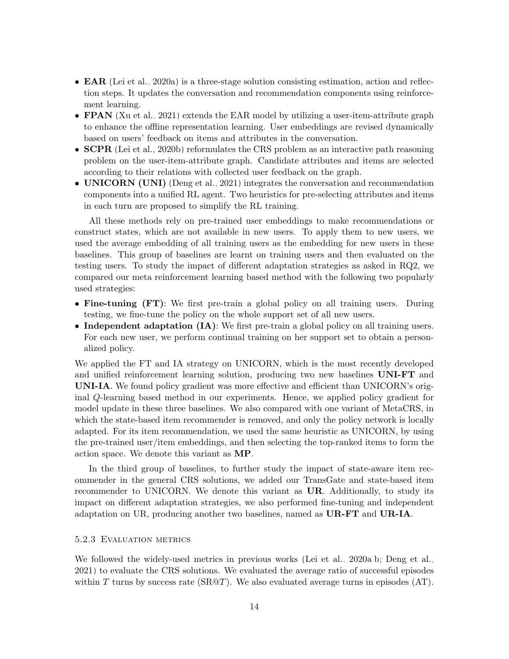- **EAR** [\(Lei et al., 2020a\)](#page-19-2) is a three-stage solution consisting estimation, action and reflection steps. It updates the conversation and recommendation components using reinforcement learning.
- **FPAN** [\(Xu et al., 2021\)](#page-20-3) extends the EAR model by utilizing a user-item-attribute graph to enhance the offline representation learning. User embeddings are revised dynamically based on users' feedback on items and attributes in the conversation.
- **SCPR** [\(Lei et al., 2020b\)](#page-19-4) reformulates the CRS problem as an interactive path reasoning problem on the user-item-attribute graph. Candidate attributes and items are selected according to their relations with collected user feedback on the graph.
- UNICORN (UNI) [\(Deng et al., 2021\)](#page-18-2) integrates the conversation and recommendation components into a unified RL agent. Two heuristics for pre-selecting attributes and items in each turn are proposed to simplify the RL training.

All these methods rely on pre-trained user embeddings to make recommendations or construct states, which are not available in new users. To apply them to new users, we used the average embedding of all training users as the embedding for new users in these baselines. This group of baselines are learnt on training users and then evaluated on the testing users. To study the impact of different adaptation strategies as asked in RQ2, we compared our meta reinforcement learning based method with the following two popularly used strategies:

- Fine-tuning (FT): We first pre-train a global policy on all training users. During testing, we fine-tune the policy on the whole support set of all new users.
- Independent adaptation (IA): We first pre-train a global policy on all training users. For each new user, we perform continual training on her support set to obtain a personalized policy.

We applied the FT and IA strategy on UNICORN, which is the most recently developed and unified reinforcement learning solution, producing two new baselines UNI-FT and UNI-IA. We found policy gradient was more effective and efficient than UNICORN's original Q-learning based method in our experiments. Hence, we applied policy gradient for model update in these three baselines. We also compared with one variant of MetaCRS, in which the state-based item recommender is removed, and only the policy network is locally adapted. For its item recommendation, we used the same heuristic as UNICORN, by using the pre-trained user/item embeddings, and then selecting the top-ranked items to form the action space. We denote this variant as MP.

In the third group of baselines, to further study the impact of state-aware item recommender in the general CRS solutions, we added our TransGate and state-based item recommender to UNICORN. We denote this variant as  $UR$ . Additionally, to study its impact on different adaptation strategies, we also performed fine-tuning and independent adaptation on UR, producing another two baselines, named as UR-FT and UR-IA.

### 5.2.3 Evaluation metrics

We followed the widely-used metrics in previous works [\(Lei et al., 2020a,](#page-19-2)[b;](#page-19-4) [Deng et al.,](#page-18-2) [2021\)](#page-18-2) to evaluate the CRS solutions. We evaluated the average ratio of successful episodes within T turns by success rate  $(SR@T)$ . We also evaluated average turns in episodes  $(AT)$ .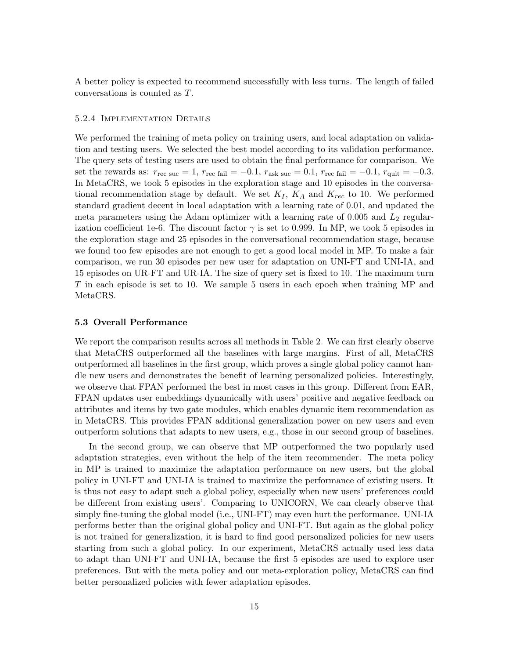A better policy is expected to recommend successfully with less turns. The length of failed conversations is counted as T.

#### 5.2.4 Implementation Details

We performed the training of meta policy on training users, and local adaptation on validation and testing users. We selected the best model according to its validation performance. The query sets of testing users are used to obtain the final performance for comparison. We set the rewards as:  $r_{\text{rec\_suc}} = 1$ ,  $r_{\text{rec-fail}} = -0.1$ ,  $r_{\text{ask\_suc}} = 0.1$ ,  $r_{\text{rec-fail}} = -0.1$ ,  $r_{\text{quit}} = -0.3$ . In MetaCRS, we took 5 episodes in the exploration stage and 10 episodes in the conversational recommendation stage by default. We set  $K_I$ ,  $K_A$  and  $K_{rec}$  to 10. We performed standard gradient decent in local adaptation with a learning rate of 0.01, and updated the meta parameters using the Adam optimizer with a learning rate of 0.005 and  $L_2$  regularization coefficient 1e-6. The discount factor  $\gamma$  is set to 0.999. In MP, we took 5 episodes in the exploration stage and 25 episodes in the conversational recommendation stage, because we found too few episodes are not enough to get a good local model in MP. To make a fair comparison, we run 30 episodes per new user for adaptation on UNI-FT and UNI-IA, and 15 episodes on UR-FT and UR-IA. The size of query set is fixed to 10. The maximum turn T in each episode is set to 10. We sample 5 users in each epoch when training MP and MetaCRS.

#### 5.3 Overall Performance

We report the comparison results across all methods in Table [2.](#page-12-0) We can first clearly observe that MetaCRS outperformed all the baselines with large margins. First of all, MetaCRS outperformed all baselines in the first group, which proves a single global policy cannot handle new users and demonstrates the benefit of learning personalized policies. Interestingly, we observe that FPAN performed the best in most cases in this group. Different from EAR, FPAN updates user embeddings dynamically with users' positive and negative feedback on attributes and items by two gate modules, which enables dynamic item recommendation as in MetaCRS. This provides FPAN additional generalization power on new users and even outperform solutions that adapts to new users, e.g., those in our second group of baselines.

In the second group, we can observe that MP outperformed the two popularly used adaptation strategies, even without the help of the item recommender. The meta policy in MP is trained to maximize the adaptation performance on new users, but the global policy in UNI-FT and UNI-IA is trained to maximize the performance of existing users. It is thus not easy to adapt such a global policy, especially when new users' preferences could be different from existing users'. Comparing to UNICORN, We can clearly observe that simply fine-tuning the global model (i.e., UNI-FT) may even hurt the performance. UNI-IA performs better than the original global policy and UNI-FT. But again as the global policy is not trained for generalization, it is hard to find good personalized policies for new users starting from such a global policy. In our experiment, MetaCRS actually used less data to adapt than UNI-FT and UNI-IA, because the first 5 episodes are used to explore user preferences. But with the meta policy and our meta-exploration policy, MetaCRS can find better personalized policies with fewer adaptation episodes.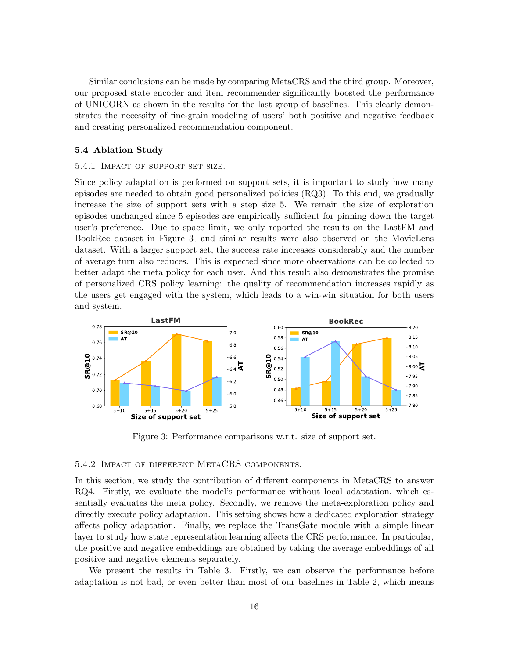Similar conclusions can be made by comparing MetaCRS and the third group. Moreover, our proposed state encoder and item recommender significantly boosted the performance of UNICORN as shown in the results for the last group of baselines. This clearly demonstrates the necessity of fine-grain modeling of users' both positive and negative feedback and creating personalized recommendation component.

# 5.4 Ablation Study

#### 5.4.1 Impact of support set size.

Since policy adaptation is performed on support sets, it is important to study how many episodes are needed to obtain good personalized policies (RQ3). To this end, we gradually increase the size of support sets with a step size 5. We remain the size of exploration episodes unchanged since 5 episodes are empirically sufficient for pinning down the target user's preference. Due to space limit, we only reported the results on the LastFM and BookRec dataset in Figure [3,](#page-15-0) and similar results were also observed on the MovieLens dataset. With a larger support set, the success rate increases considerably and the number of average turn also reduces. This is expected since more observations can be collected to better adapt the meta policy for each user. And this result also demonstrates the promise of personalized CRS policy learning: the quality of recommendation increases rapidly as the users get engaged with the system, which leads to a win-win situation for both users and system.

<span id="page-15-0"></span>

Figure 3: Performance comparisons w.r.t. size of support set.

# 5.4.2 Impact of different MetaCRS components.

In this section, we study the contribution of different components in MetaCRS to answer RQ4. Firstly, we evaluate the model's performance without local adaptation, which essentially evaluates the meta policy. Secondly, we remove the meta-exploration policy and directly execute policy adaptation. This setting shows how a dedicated exploration strategy affects policy adaptation. Finally, we replace the TransGate module with a simple linear layer to study how state representation learning affects the CRS performance. In particular, the positive and negative embeddings are obtained by taking the average embeddings of all positive and negative elements separately.

We present the results in Table [3.](#page-16-0) Firstly, we can observe the performance before adaptation is not bad, or even better than most of our baselines in Table [2,](#page-12-0) which means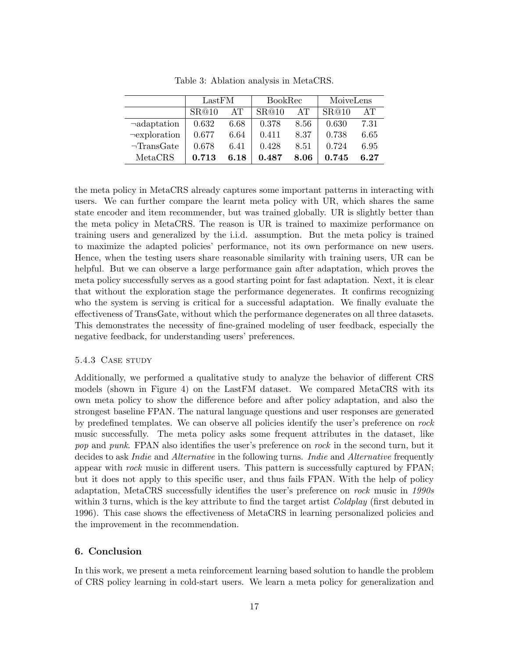<span id="page-16-0"></span>

|                    | LastFM |      | <b>BookRec</b> |      | MoiveLens |      |
|--------------------|--------|------|----------------|------|-----------|------|
|                    | SR@10  | AT   | SR@10          | AT   | SR@10     | AT   |
| $\neg$ adaptation  | 0.632  | 6.68 | 0.378          | 8.56 | 0.630     | 7.31 |
| $\neg$ exploration | 0.677  | 6.64 | 0.411          | 8.37 | 0.738     | 6.65 |
| $\neg$ TransGate   | 0.678  | 6.41 | 0.428          | 8.51 | 0.724     | 6.95 |
| MetaCRS            | 0.713  | 6.18 | 0.487          | 8.06 | 0.745     | 6.27 |

Table 3: Ablation analysis in MetaCRS.

the meta policy in MetaCRS already captures some important patterns in interacting with users. We can further compare the learnt meta policy with UR, which shares the same state encoder and item recommender, but was trained globally. UR is slightly better than the meta policy in MetaCRS. The reason is UR is trained to maximize performance on training users and generalized by the i.i.d. assumption. But the meta policy is trained to maximize the adapted policies' performance, not its own performance on new users. Hence, when the testing users share reasonable similarity with training users, UR can be helpful. But we can observe a large performance gain after adaptation, which proves the meta policy successfully serves as a good starting point for fast adaptation. Next, it is clear that without the exploration stage the performance degenerates. It confirms recognizing who the system is serving is critical for a successful adaptation. We finally evaluate the effectiveness of TransGate, without which the performance degenerates on all three datasets. This demonstrates the necessity of fine-grained modeling of user feedback, especially the negative feedback, for understanding users' preferences.

# 5.4.3 CASE STUDY

Additionally, we performed a qualitative study to analyze the behavior of different CRS models (shown in Figure [4\)](#page-17-4) on the LastFM dataset. We compared MetaCRS with its own meta policy to show the difference before and after policy adaptation, and also the strongest baseline FPAN. The natural language questions and user responses are generated by predefined templates. We can observe all policies identify the user's preference on rock music successfully. The meta policy asks some frequent attributes in the dataset, like pop and punk. FPAN also identifies the user's preference on rock in the second turn, but it decides to ask *Indie* and *Alternative* in the following turns. *Indie* and *Alternative* frequently appear with *rock* music in different users. This pattern is successfully captured by FPAN; but it does not apply to this specific user, and thus fails FPAN. With the help of policy adaptation, MetaCRS successfully identifies the user's preference on rock music in 1990s within 3 turns, which is the key attribute to find the target artist *Coldplay* (first debuted in 1996). This case shows the effectiveness of MetaCRS in learning personalized policies and the improvement in the recommendation.

# 6. Conclusion

In this work, we present a meta reinforcement learning based solution to handle the problem of CRS policy learning in cold-start users. We learn a meta policy for generalization and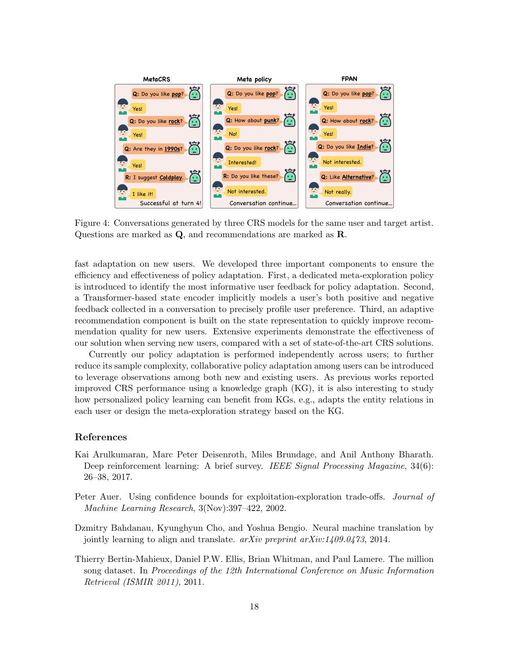<span id="page-17-4"></span>

Figure 4: Conversations generated by three CRS models for the same user and target artist. Questions are marked as Q, and recommendations are marked as R.

fast adaptation on new users. We developed three important components to ensure the efficiency and effectiveness of policy adaptation. First, a dedicated meta-exploration policy is introduced to identify the most informative user feedback for policy adaptation. Second, a Transformer-based state encoder implicitly models a user's both positive and negative feedback collected in a conversation to precisely profile user preference. Third, an adaptive recommendation component is built on the state representation to quickly improve recommendation quality for new users. Extensive experiments demonstrate the effectiveness of our solution when serving new users, compared with a set of state-of-the-art CRS solutions.

Currently our policy adaptation is performed independently across users; to further reduce its sample complexity, collaborative policy adaptation among users can be introduced to leverage observations among both new and existing users. As previous works reported improved CRS performance using a knowledge graph (KG), it is also interesting to study how personalized policy learning can benefit from KGs, e.g., adapts the entity relations in each user or design the meta-exploration strategy based on the KG.

### References

- <span id="page-17-1"></span>Kai Arulkumaran, Marc Peter Deisenroth, Miles Brundage, and Anil Anthony Bharath. Deep reinforcement learning: A brief survey. IEEE Signal Processing Magazine, 34(6): 26–38, 2017.
- <span id="page-17-0"></span>Peter Auer. Using confidence bounds for exploitation-exploration trade-offs. Journal of Machine Learning Research, 3(Nov):397–422, 2002.
- <span id="page-17-2"></span>Dzmitry Bahdanau, Kyunghyun Cho, and Yoshua Bengio. Neural machine translation by jointly learning to align and translate. *arXiv preprint arXiv:1409.0473*, 2014.
- <span id="page-17-3"></span>Thierry Bertin-Mahieux, Daniel P.W. Ellis, Brian Whitman, and Paul Lamere. The million song dataset. In Proceedings of the 12th International Conference on Music Information Retrieval (ISMIR 2011), 2011.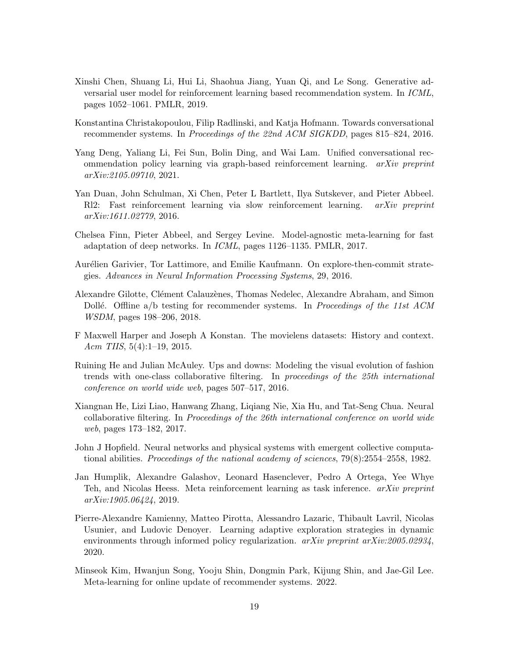- <span id="page-18-5"></span>Xinshi Chen, Shuang Li, Hui Li, Shaohua Jiang, Yuan Qi, and Le Song. Generative adversarial user model for reinforcement learning based recommendation system. In ICML, pages 1052–1061. PMLR, 2019.
- <span id="page-18-1"></span>Konstantina Christakopoulou, Filip Radlinski, and Katja Hofmann. Towards conversational recommender systems. In Proceedings of the 22nd ACM SIGKDD, pages 815–824, 2016.
- <span id="page-18-2"></span>Yang Deng, Yaliang Li, Fei Sun, Bolin Ding, and Wai Lam. Unified conversational recommendation policy learning via graph-based reinforcement learning. arXiv preprint arXiv:2105.09710, 2021.
- <span id="page-18-10"></span>Yan Duan, John Schulman, Xi Chen, Peter L Bartlett, Ilya Sutskever, and Pieter Abbeel. Rl2: Fast reinforcement learning via slow reinforcement learning. arXiv preprint arXiv:1611.02779, 2016.
- <span id="page-18-6"></span>Chelsea Finn, Pieter Abbeel, and Sergey Levine. Model-agnostic meta-learning for fast adaptation of deep networks. In ICML, pages 1126–1135. PMLR, 2017.
- <span id="page-18-8"></span>Aurélien Garivier, Tor Lattimore, and Emilie Kaufmann. On explore-then-commit strategies. Advances in Neural Information Processing Systems, 29, 2016.
- <span id="page-18-3"></span>Alexandre Gilotte, Clément Calauzènes, Thomas Nedelec, Alexandre Abraham, and Simon Dollé. Offline a/b testing for recommender systems. In Proceedings of the 11st ACM WSDM, pages 198–206, 2018.
- <span id="page-18-13"></span>F Maxwell Harper and Joseph A Konstan. The movielens datasets: History and context. Acm TIIS,  $5(4):1-19$ ,  $2015$ .
- <span id="page-18-12"></span>Ruining He and Julian McAuley. Ups and downs: Modeling the visual evolution of fashion trends with one-class collaborative filtering. In proceedings of the 25th international conference on world wide web, pages 507–517, 2016.
- <span id="page-18-0"></span>Xiangnan He, Lizi Liao, Hanwang Zhang, Liqiang Nie, Xia Hu, and Tat-Seng Chua. Neural collaborative filtering. In Proceedings of the 26th international conference on world wide web, pages 173–182, 2017.
- <span id="page-18-9"></span>John J Hopfield. Neural networks and physical systems with emergent collective computational abilities. Proceedings of the national academy of sciences,  $79(8)$ :2554–2558, 1982.
- <span id="page-18-4"></span>Jan Humplik, Alexandre Galashov, Leonard Hasenclever, Pedro A Ortega, Yee Whye Teh, and Nicolas Heess. Meta reinforcement learning as task inference. arXiv preprint arXiv:1905.06424, 2019.
- <span id="page-18-11"></span>Pierre-Alexandre Kamienny, Matteo Pirotta, Alessandro Lazaric, Thibault Lavril, Nicolas Usunier, and Ludovic Denoyer. Learning adaptive exploration strategies in dynamic environments through informed policy regularization. *arXiv preprint arXiv:2005.02934*, 2020.
- <span id="page-18-7"></span>Minseok Kim, Hwanjun Song, Yooju Shin, Dongmin Park, Kijung Shin, and Jae-Gil Lee. Meta-learning for online update of recommender systems. 2022.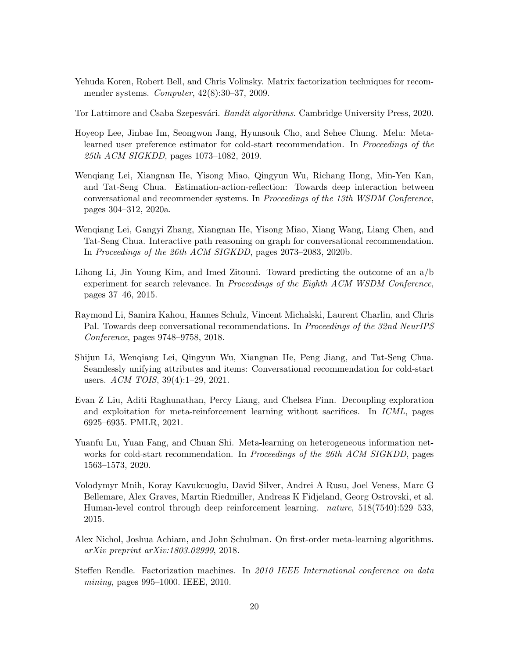- <span id="page-19-1"></span>Yehuda Koren, Robert Bell, and Chris Volinsky. Matrix factorization techniques for recommender systems. Computer, 42(8):30–37, 2009.
- <span id="page-19-12"></span>Tor Lattimore and Csaba Szepesvári. Bandit algorithms. Cambridge University Press, 2020.
- <span id="page-19-9"></span>Hoyeop Lee, Jinbae Im, Seongwon Jang, Hyunsouk Cho, and Sehee Chung. Melu: Metalearned user preference estimator for cold-start recommendation. In Proceedings of the 25th ACM SIGKDD, pages 1073–1082, 2019.
- <span id="page-19-2"></span>Wenqiang Lei, Xiangnan He, Yisong Miao, Qingyun Wu, Richang Hong, Min-Yen Kan, and Tat-Seng Chua. Estimation-action-reflection: Towards deep interaction between conversational and recommender systems. In Proceedings of the 13th WSDM Conference, pages 304–312, 2020a.
- <span id="page-19-4"></span>Wenqiang Lei, Gangyi Zhang, Xiangnan He, Yisong Miao, Xiang Wang, Liang Chen, and Tat-Seng Chua. Interactive path reasoning on graph for conversational recommendation. In Proceedings of the 26th ACM SIGKDD, pages 2073–2083, 2020b.
- <span id="page-19-5"></span>Lihong Li, Jin Young Kim, and Imed Zitouni. Toward predicting the outcome of an a/b experiment for search relevance. In Proceedings of the Eighth ACM WSDM Conference, pages 37–46, 2015.
- <span id="page-19-3"></span>Raymond Li, Samira Kahou, Hannes Schulz, Vincent Michalski, Laurent Charlin, and Chris Pal. Towards deep conversational recommendations. In Proceedings of the 32nd NeurIPS Conference, pages 9748–9758, 2018.
- <span id="page-19-7"></span>Shijun Li, Wenqiang Lei, Qingyun Wu, Xiangnan He, Peng Jiang, and Tat-Seng Chua. Seamlessly unifying attributes and items: Conversational recommendation for cold-start users. ACM TOIS, 39(4):1–29, 2021.
- <span id="page-19-6"></span>Evan Z Liu, Aditi Raghunathan, Percy Liang, and Chelsea Finn. Decoupling exploration and exploitation for meta-reinforcement learning without sacrifices. In ICML, pages 6925–6935. PMLR, 2021.
- <span id="page-19-10"></span>Yuanfu Lu, Yuan Fang, and Chuan Shi. Meta-learning on heterogeneous information networks for cold-start recommendation. In *Proceedings of the 26th ACM SIGKDD*, pages 1563–1573, 2020.
- <span id="page-19-8"></span>Volodymyr Mnih, Koray Kavukcuoglu, David Silver, Andrei A Rusu, Joel Veness, Marc G Bellemare, Alex Graves, Martin Riedmiller, Andreas K Fidjeland, Georg Ostrovski, et al. Human-level control through deep reinforcement learning. nature, 518(7540):529–533, 2015.
- <span id="page-19-11"></span>Alex Nichol, Joshua Achiam, and John Schulman. On first-order meta-learning algorithms. arXiv preprint arXiv:1803.02999, 2018.
- <span id="page-19-0"></span>Steffen Rendle. Factorization machines. In 2010 IEEE International conference on data mining, pages 995–1000. IEEE, 2010.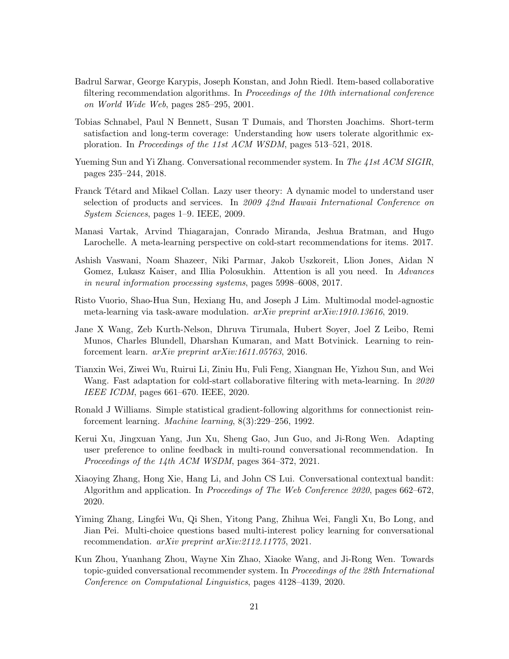- <span id="page-20-0"></span>Badrul Sarwar, George Karypis, Joseph Konstan, and John Riedl. Item-based collaborative filtering recommendation algorithms. In Proceedings of the 10th international conference on World Wide Web, pages 285–295, 2001.
- <span id="page-20-4"></span>Tobias Schnabel, Paul N Bennett, Susan T Dumais, and Thorsten Joachims. Short-term satisfaction and long-term coverage: Understanding how users tolerate algorithmic exploration. In Proceedings of the 11st ACM WSDM, pages 513–521, 2018.
- <span id="page-20-1"></span>Yueming Sun and Yi Zhang. Conversational recommender system. In The 41st ACM SIGIR, pages 235–244, 2018.
- <span id="page-20-5"></span>Franck Tétard and Mikael Collan. Lazy user theory: A dynamic model to understand user selection of products and services. In 2009 42nd Hawaii International Conference on System Sciences, pages 1–9. IEEE, 2009.
- <span id="page-20-9"></span>Manasi Vartak, Arvind Thiagarajan, Conrado Miranda, Jeshua Bratman, and Hugo Larochelle. A meta-learning perspective on cold-start recommendations for items. 2017.
- <span id="page-20-7"></span>Ashish Vaswani, Noam Shazeer, Niki Parmar, Jakob Uszkoreit, Llion Jones, Aidan N Gomez, Lukasz Kaiser, and Illia Polosukhin. Attention is all you need. In Advances in neural information processing systems, pages 5998–6008, 2017.
- <span id="page-20-12"></span>Risto Vuorio, Shao-Hua Sun, Hexiang Hu, and Joseph J Lim. Multimodal model-agnostic meta-learning via task-aware modulation. arXiv preprint arXiv:1910.13616, 2019.
- <span id="page-20-6"></span>Jane X Wang, Zeb Kurth-Nelson, Dhruva Tirumala, Hubert Soyer, Joel Z Leibo, Remi Munos, Charles Blundell, Dharshan Kumaran, and Matt Botvinick. Learning to reinforcement learn. arXiv preprint arXiv:1611.05763, 2016.
- <span id="page-20-10"></span>Tianxin Wei, Ziwei Wu, Ruirui Li, Ziniu Hu, Fuli Feng, Xiangnan He, Yizhou Sun, and Wei Wang. Fast adaptation for cold-start collaborative filtering with meta-learning. In 2020 IEEE ICDM, pages 661–670. IEEE, 2020.
- <span id="page-20-11"></span>Ronald J Williams. Simple statistical gradient-following algorithms for connectionist reinforcement learning. Machine learning, 8(3):229–256, 1992.
- <span id="page-20-3"></span>Kerui Xu, Jingxuan Yang, Jun Xu, Sheng Gao, Jun Guo, and Ji-Rong Wen. Adapting user preference to online feedback in multi-round conversational recommendation. In Proceedings of the 14th ACM WSDM, pages 364–372, 2021.
- <span id="page-20-8"></span>Xiaoying Zhang, Hong Xie, Hang Li, and John CS Lui. Conversational contextual bandit: Algorithm and application. In Proceedings of The Web Conference 2020, pages 662–672, 2020.
- <span id="page-20-13"></span>Yiming Zhang, Lingfei Wu, Qi Shen, Yitong Pang, Zhihua Wei, Fangli Xu, Bo Long, and Jian Pei. Multi-choice questions based multi-interest policy learning for conversational recommendation. arXiv preprint arXiv:2112.11775, 2021.
- <span id="page-20-2"></span>Kun Zhou, Yuanhang Zhou, Wayne Xin Zhao, Xiaoke Wang, and Ji-Rong Wen. Towards topic-guided conversational recommender system. In Proceedings of the 28th International Conference on Computational Linguistics, pages 4128–4139, 2020.